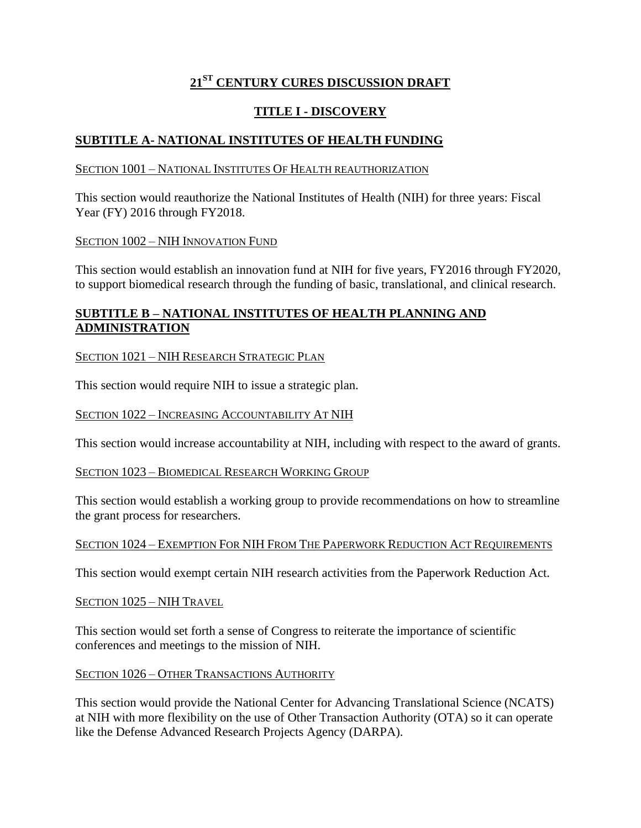# **21ST CENTURY CURES DISCUSSION DRAFT**

## **TITLE I - DISCOVERY**

## **SUBTITLE A- NATIONAL INSTITUTES OF HEALTH FUNDING**

### SECTION 1001 – NATIONAL INSTITUTES OF HEALTH REAUTHORIZATION

This section would reauthorize the National Institutes of Health (NIH) for three years: Fiscal Year (FY) 2016 through FY2018.

### SECTION 1002 – NIH INNOVATION FUND

This section would establish an innovation fund at NIH for five years, FY2016 through FY2020, to support biomedical research through the funding of basic, translational, and clinical research.

## **SUBTITLE B – NATIONAL INSTITUTES OF HEALTH PLANNING AND ADMINISTRATION**

## SECTION 1021 – NIH RESEARCH STRATEGIC PLAN

This section would require NIH to issue a strategic plan.

### SECTION 1022 – INCREASING ACCOUNTABILITY AT NIH

This section would increase accountability at NIH, including with respect to the award of grants.

### SECTION 1023 – BIOMEDICAL RESEARCH WORKING GROUP

This section would establish a working group to provide recommendations on how to streamline the grant process for researchers.

### SECTION 1024 – EXEMPTION FOR NIH FROM THE PAPERWORK REDUCTION ACT REQUIREMENTS

This section would exempt certain NIH research activities from the Paperwork Reduction Act.

SECTION 1025 – NIH TRAVEL

This section would set forth a sense of Congress to reiterate the importance of scientific conferences and meetings to the mission of NIH.

### SECTION 1026 – OTHER TRANSACTIONS AUTHORITY

This section would provide the National Center for Advancing Translational Science (NCATS) at NIH with more flexibility on the use of Other Transaction Authority (OTA) so it can operate like the Defense Advanced Research Projects Agency (DARPA).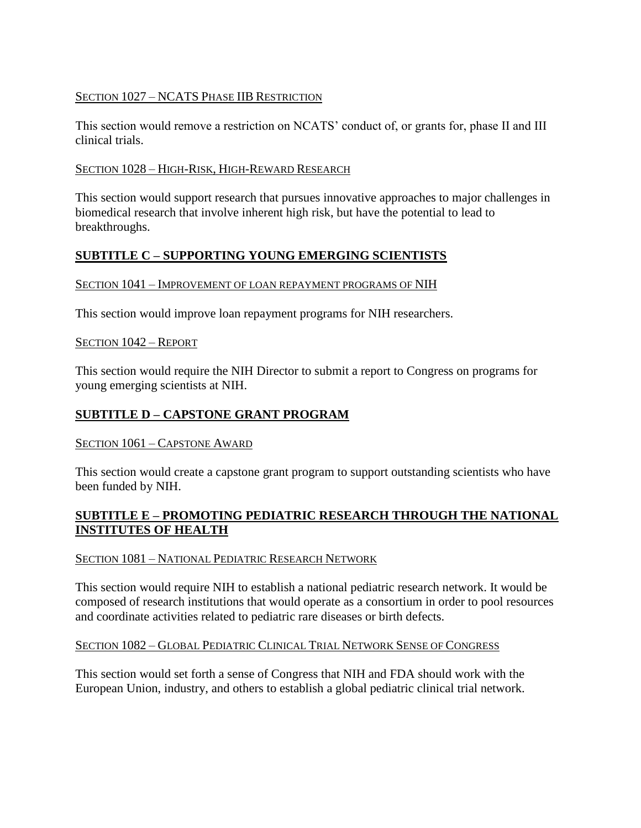### SECTION 1027 – NCATS PHASE IIB RESTRICTION

This section would remove a restriction on NCATS' conduct of, or grants for, phase II and III clinical trials.

### SECTION 1028 – HIGH-RISK, HIGH-REWARD RESEARCH

This section would support research that pursues innovative approaches to major challenges in biomedical research that involve inherent high risk, but have the potential to lead to breakthroughs.

## **SUBTITLE C – SUPPORTING YOUNG EMERGING SCIENTISTS**

### SECTION  $1041$  – IMPROVEMENT OF LOAN REPAYMENT PROGRAMS OF NIH

This section would improve loan repayment programs for NIH researchers.

### SECTION 1042 – REPORT

This section would require the NIH Director to submit a report to Congress on programs for young emerging scientists at NIH.

### **SUBTITLE D – CAPSTONE GRANT PROGRAM**

### SECTION 1061 – CAPSTONE AWARD

This section would create a capstone grant program to support outstanding scientists who have been funded by NIH.

### **SUBTITLE E – PROMOTING PEDIATRIC RESEARCH THROUGH THE NATIONAL INSTITUTES OF HEALTH**

### SECTION 1081 – NATIONAL PEDIATRIC RESEARCH NETWORK

This section would require NIH to establish a national pediatric research network. It would be composed of research institutions that would operate as a consortium in order to pool resources and coordinate activities related to pediatric rare diseases or birth defects.

### SECTION 1082 – GLOBAL PEDIATRIC CLINICAL TRIAL NETWORK SENSE OF CONGRESS

This section would set forth a sense of Congress that NIH and FDA should work with the European Union, industry, and others to establish a global pediatric clinical trial network.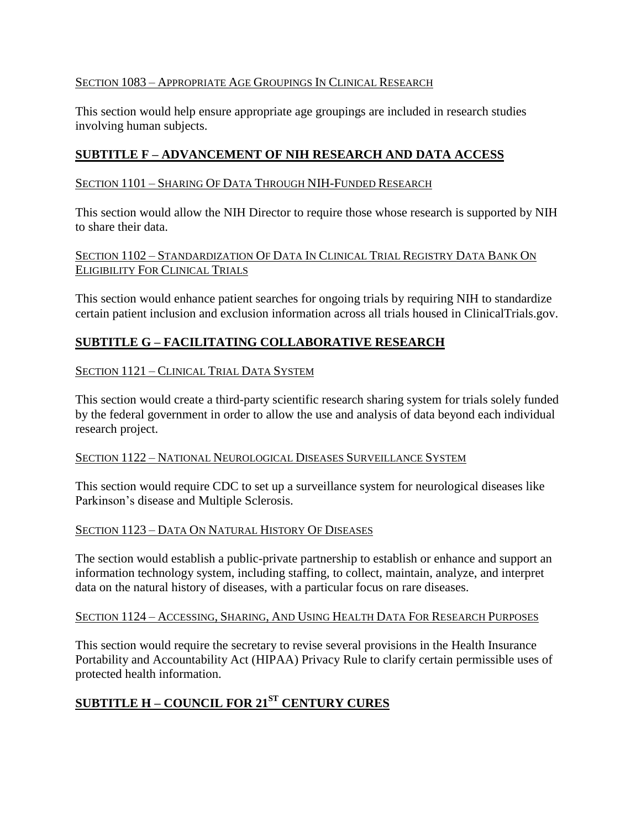## SECTION 1083 – APPROPRIATE AGE GROUPINGS IN CLINICAL RESEARCH

This section would help ensure appropriate age groupings are included in research studies involving human subjects.

## **SUBTITLE F – ADVANCEMENT OF NIH RESEARCH AND DATA ACCESS**

### SECTION 1101 – SHARING OF DATA THROUGH NIH-FUNDED RESEARCH

This section would allow the NIH Director to require those whose research is supported by NIH to share their data.

### SECTION 1102 – STANDARDIZATION OF DATA IN CLINICAL TRIAL REGISTRY DATA BANK ON ELIGIBILITY FOR CLINICAL TRIALS

This section would enhance patient searches for ongoing trials by requiring NIH to standardize certain patient inclusion and exclusion information across all trials housed in ClinicalTrials.gov.

## **SUBTITLE G – FACILITATING COLLABORATIVE RESEARCH**

### SECTION 1121 – CLINICAL TRIAL DATA SYSTEM

This section would create a third-party scientific research sharing system for trials solely funded by the federal government in order to allow the use and analysis of data beyond each individual research project.

### SECTION 1122 – NATIONAL NEUROLOGICAL DISEASES SURVEILLANCE SYSTEM

This section would require CDC to set up a surveillance system for neurological diseases like Parkinson's disease and Multiple Sclerosis.

### SECTION 1123 – DATA ON NATURAL HISTORY OF DISEASES

The section would establish a public-private partnership to establish or enhance and support an information technology system, including staffing, to collect, maintain, analyze, and interpret data on the natural history of diseases, with a particular focus on rare diseases.

### SECTION 1124 – ACCESSING, SHARING, AND USING HEALTH DATA FOR RESEARCH PURPOSES

This section would require the secretary to revise several provisions in the Health Insurance Portability and Accountability Act (HIPAA) Privacy Rule to clarify certain permissible uses of protected health information.

# **SUBTITLE H – COUNCIL FOR 21ST CENTURY CURES**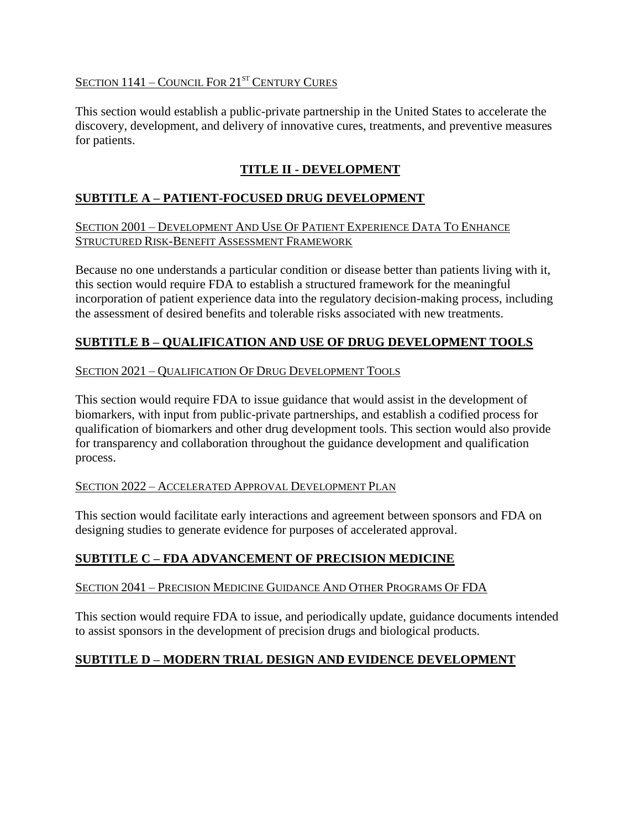## SECTION  $1141$  – COUNCIL FOR  $21^{ST}$  CENTURY CURES

This section would establish a public-private partnership in the United States to accelerate the discovery, development, and delivery of innovative cures, treatments, and preventive measures for patients.

# **TITLE II - DEVELOPMENT**

## **SUBTITLE A – PATIENT-FOCUSED DRUG DEVELOPMENT**

### SECTION 2001 – DEVELOPMENT AND USE OF PATIENT EXPERIENCE DATA TO ENHANCE STRUCTURED RISK-BENEFIT ASSESSMENT FRAMEWORK

Because no one understands a particular condition or disease better than patients living with it, this section would require FDA to establish a structured framework for the meaningful incorporation of patient experience data into the regulatory decision-making process, including the assessment of desired benefits and tolerable risks associated with new treatments.

## **SUBTITLE B – QUALIFICATION AND USE OF DRUG DEVELOPMENT TOOLS**

## SECTION 2021 – QUALIFICATION OF DRUG DEVELOPMENT TOOLS

This section would require FDA to issue guidance that would assist in the development of biomarkers, with input from public-private partnerships, and establish a codified process for qualification of biomarkers and other drug development tools. This section would also provide for transparency and collaboration throughout the guidance development and qualification process.

## SECTION 2022 – ACCELERATED APPROVAL DEVELOPMENT PLAN

This section would facilitate early interactions and agreement between sponsors and FDA on designing studies to generate evidence for purposes of accelerated approval.

## **SUBTITLE C – FDA ADVANCEMENT OF PRECISION MEDICINE**

### SECTION 2041 – PRECISION MEDICINE GUIDANCE AND OTHER PROGRAMS OF FDA

This section would require FDA to issue, and periodically update, guidance documents intended to assist sponsors in the development of precision drugs and biological products.

## **SUBTITLE D – MODERN TRIAL DESIGN AND EVIDENCE DEVELOPMENT**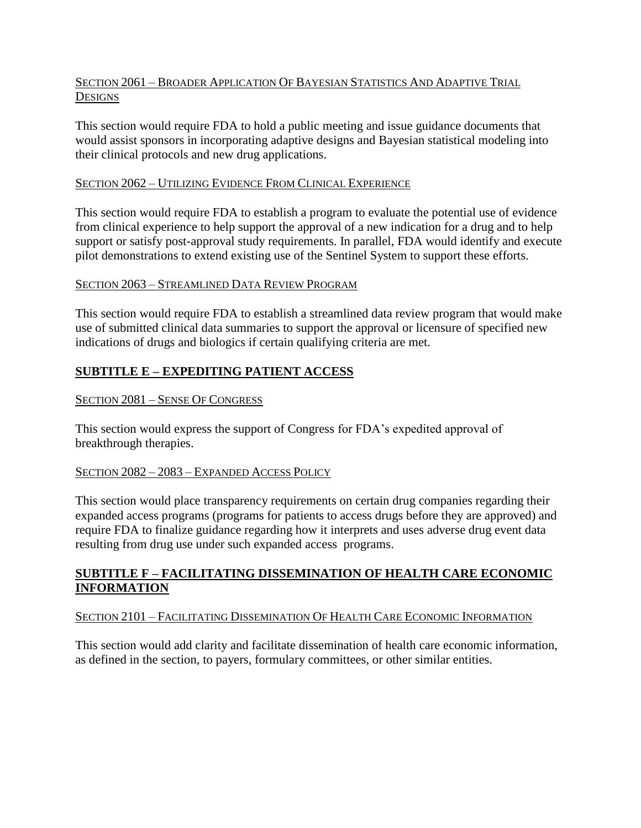### SECTION 2061 – BROADER APPLICATION OF BAYESIAN STATISTICS AND ADAPTIVE TRIAL **DESIGNS**

This section would require FDA to hold a public meeting and issue guidance documents that would assist sponsors in incorporating adaptive designs and Bayesian statistical modeling into their clinical protocols and new drug applications.

### SECTION 2062 – UTILIZING EVIDENCE FROM CLINICAL EXPERIENCE

This section would require FDA to establish a program to evaluate the potential use of evidence from clinical experience to help support the approval of a new indication for a drug and to help support or satisfy post-approval study requirements. In parallel, FDA would identify and execute pilot demonstrations to extend existing use of the Sentinel System to support these efforts.

### SECTION 2063 – STREAMLINED DATA REVIEW PROGRAM

This section would require FDA to establish a streamlined data review program that would make use of submitted clinical data summaries to support the approval or licensure of specified new indications of drugs and biologics if certain qualifying criteria are met.

## **SUBTITLE E – EXPEDITING PATIENT ACCESS**

### SECTION 2081 – SENSE OF CONGRESS

This section would express the support of Congress for FDA's expedited approval of breakthrough therapies.

### SECTION 2082 – 2083 – EXPANDED ACCESS POLICY

This section would place transparency requirements on certain drug companies regarding their expanded access programs (programs for patients to access drugs before they are approved) and require FDA to finalize guidance regarding how it interprets and uses adverse drug event data resulting from drug use under such expanded access programs.

## **SUBTITLE F – FACILITATING DISSEMINATION OF HEALTH CARE ECONOMIC INFORMATION**

### SECTION 2101 – FACILITATING DISSEMINATION OF HEALTH CARE ECONOMIC INFORMATION

This section would add clarity and facilitate dissemination of health care economic information, as defined in the section, to payers, formulary committees, or other similar entities.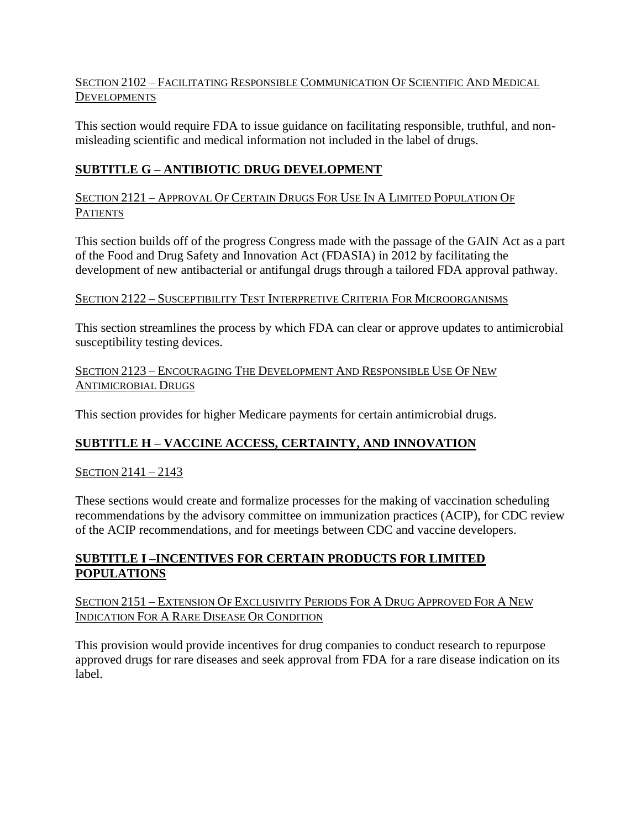## SECTION 2102 – FACILITATING RESPONSIBLE COMMUNICATION OF SCIENTIFIC AND MEDICAL **DEVELOPMENTS**

This section would require FDA to issue guidance on facilitating responsible, truthful, and nonmisleading scientific and medical information not included in the label of drugs.

## **SUBTITLE G – ANTIBIOTIC DRUG DEVELOPMENT**

SECTION 2121 – APPROVAL OF CERTAIN DRUGS FOR USE IN A LIMITED POPULATION OF **PATIENTS** 

This section builds off of the progress Congress made with the passage of the GAIN Act as a part of the Food and Drug Safety and Innovation Act (FDASIA) in 2012 by facilitating the development of new antibacterial or antifungal drugs through a tailored FDA approval pathway.

## SECTION 2122 – SUSCEPTIBILITY TEST INTERPRETIVE CRITERIA FOR MICROORGANISMS

This section streamlines the process by which FDA can clear or approve updates to antimicrobial susceptibility testing devices.

## SECTION 2123 – ENCOURAGING THE DEVELOPMENT AND RESPONSIBLE USE OF NEW ANTIMICROBIAL DRUGS

This section provides for higher Medicare payments for certain antimicrobial drugs.

## **SUBTITLE H – VACCINE ACCESS, CERTAINTY, AND INNOVATION**

## SECTION 2141 – 2143

These sections would create and formalize processes for the making of vaccination scheduling recommendations by the advisory committee on immunization practices (ACIP), for CDC review of the ACIP recommendations, and for meetings between CDC and vaccine developers.

## **SUBTITLE I –INCENTIVES FOR CERTAIN PRODUCTS FOR LIMITED POPULATIONS**

SECTION 2151 – EXTENSION OF EXCLUSIVITY PERIODS FOR A DRUG APPROVED FOR A NEW INDICATION FOR A RARE DISEASE OR CONDITION

This provision would provide incentives for drug companies to conduct research to repurpose approved drugs for rare diseases and seek approval from FDA for a rare disease indication on its label.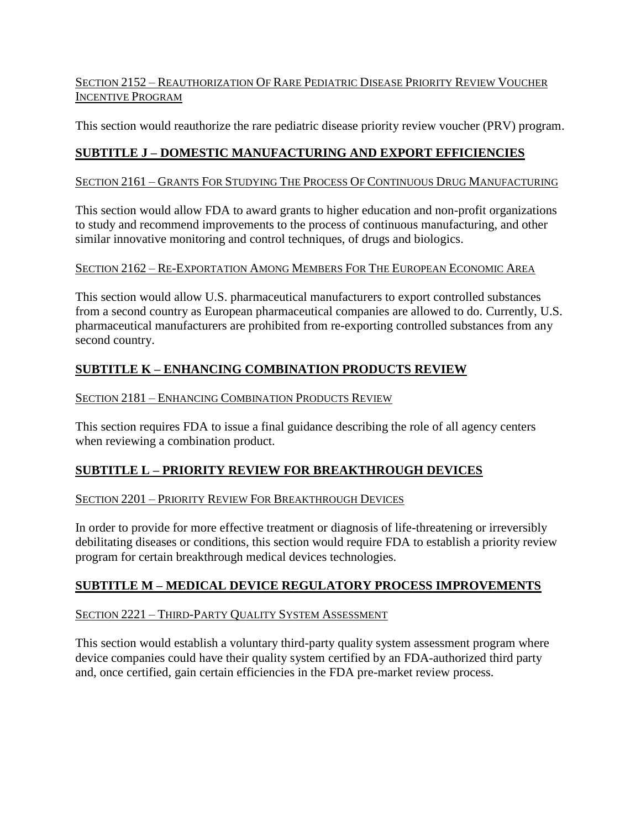## SECTION 2152 – REAUTHORIZATION OF RARE PEDIATRIC DISEASE PRIORITY REVIEW VOUCHER INCENTIVE PROGRAM

This section would reauthorize the rare pediatric disease priority review voucher (PRV) program.

# **SUBTITLE J – DOMESTIC MANUFACTURING AND EXPORT EFFICIENCIES**

## SECTION 2161 – GRANTS FOR STUDYING THE PROCESS OF CONTINUOUS DRUG MANUFACTURING

This section would allow FDA to award grants to higher education and non-profit organizations to study and recommend improvements to the process of continuous manufacturing, and other similar innovative monitoring and control techniques, of drugs and biologics.

## SECTION 2162 – RE-EXPORTATION AMONG MEMBERS FOR THE EUROPEAN ECONOMIC AREA

This section would allow U.S. pharmaceutical manufacturers to export controlled substances from a second country as European pharmaceutical companies are allowed to do. Currently, U.S. pharmaceutical manufacturers are prohibited from re-exporting controlled substances from any second country.

# **SUBTITLE K – ENHANCING COMBINATION PRODUCTS REVIEW**

## SECTION 2181 – ENHANCING COMBINATION PRODUCTS REVIEW

This section requires FDA to issue a final guidance describing the role of all agency centers when reviewing a combination product.

## **SUBTITLE L – PRIORITY REVIEW FOR BREAKTHROUGH DEVICES**

## SECTION 2201 – PRIORITY REVIEW FOR BREAKTHROUGH DEVICES

In order to provide for more effective treatment or diagnosis of life-threatening or irreversibly debilitating diseases or conditions, this section would require FDA to establish a priority review program for certain breakthrough medical devices technologies.

## **SUBTITLE M – MEDICAL DEVICE REGULATORY PROCESS IMPROVEMENTS**

## SECTION 2221 – THIRD-PARTY QUALITY SYSTEM ASSESSMENT

This section would establish a voluntary third-party quality system assessment program where device companies could have their quality system certified by an FDA-authorized third party and, once certified, gain certain efficiencies in the FDA pre-market review process.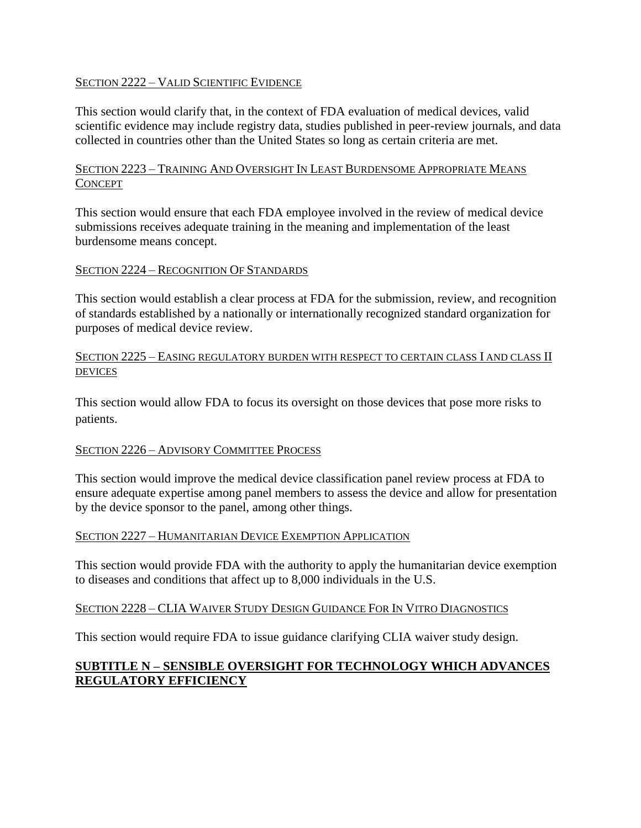### SECTION 2222 – VALID SCIENTIFIC EVIDENCE

This section would clarify that, in the context of FDA evaluation of medical devices, valid scientific evidence may include registry data, studies published in peer-review journals, and data collected in countries other than the United States so long as certain criteria are met.

### SECTION 2223 – TRAINING AND OVERSIGHT IN LEAST BURDENSOME APPROPRIATE MEANS **CONCEPT**

This section would ensure that each FDA employee involved in the review of medical device submissions receives adequate training in the meaning and implementation of the least burdensome means concept.

### SECTION 2224 – RECOGNITION OF STANDARDS

This section would establish a clear process at FDA for the submission, review, and recognition of standards established by a nationally or internationally recognized standard organization for purposes of medical device review.

### SECTION 2225 – EASING REGULATORY BURDEN WITH RESPECT TO CERTAIN CLASS I AND CLASS II DEVICES

This section would allow FDA to focus its oversight on those devices that pose more risks to patients.

### SECTION 2226 – ADVISORY COMMITTEE PROCESS

This section would improve the medical device classification panel review process at FDA to ensure adequate expertise among panel members to assess the device and allow for presentation by the device sponsor to the panel, among other things.

### SECTION 2227 – HUMANITARIAN DEVICE EXEMPTION APPLICATION

This section would provide FDA with the authority to apply the humanitarian device exemption to diseases and conditions that affect up to 8,000 individuals in the U.S.

### SECTION 2228 – CLIA WAIVER STUDY DESIGN GUIDANCE FOR IN VITRO DIAGNOSTICS

This section would require FDA to issue guidance clarifying CLIA waiver study design.

## **SUBTITLE N – SENSIBLE OVERSIGHT FOR TECHNOLOGY WHICH ADVANCES REGULATORY EFFICIENCY**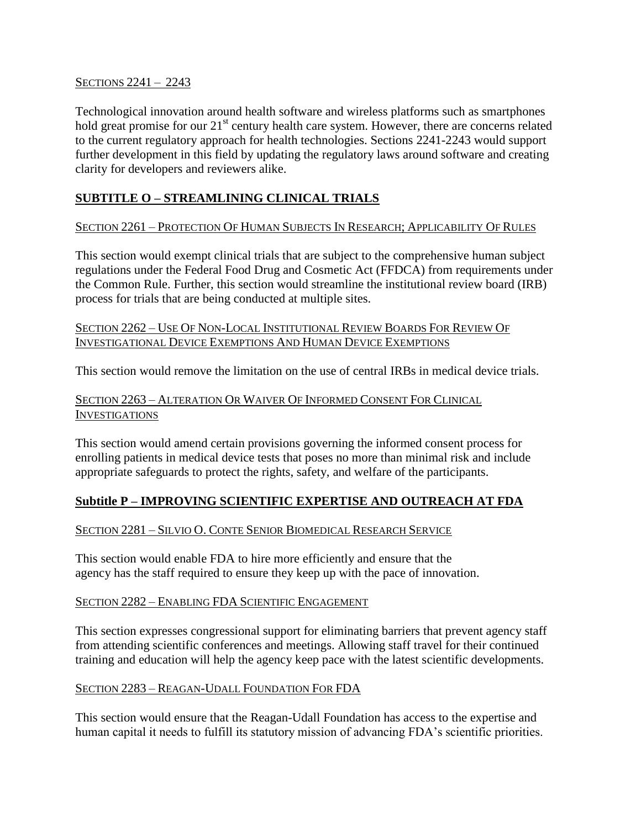#### SECTIONS 2241 – 2243

Technological innovation around health software and wireless platforms such as smartphones hold great promise for our 21<sup>st</sup> century health care system. However, there are concerns related to the current regulatory approach for health technologies. Sections 2241-2243 would support further development in this field by updating the regulatory laws around software and creating clarity for developers and reviewers alike.

## **SUBTITLE O – STREAMLINING CLINICAL TRIALS**

### SECTION 2261 – PROTECTION OF HUMAN SUBJECTS IN RESEARCH; APPLICABILITY OF RULES

This section would exempt clinical trials that are subject to the comprehensive human subject regulations under the Federal Food Drug and Cosmetic Act (FFDCA) from requirements under the Common Rule. Further, this section would streamline the institutional review board (IRB) process for trials that are being conducted at multiple sites.

### SECTION 2262 – USE OF NON-LOCAL INSTITUTIONAL REVIEW BOARDS FOR REVIEW OF INVESTIGATIONAL DEVICE EXEMPTIONS AND HUMAN DEVICE EXEMPTIONS

This section would remove the limitation on the use of central IRBs in medical device trials.

## SECTION 2263 – ALTERATION OR WAIVER OF INFORMED CONSENT FOR CLINICAL INVESTIGATIONS

This section would amend certain provisions governing the informed consent process for enrolling patients in medical device tests that poses no more than minimal risk and include appropriate safeguards to protect the rights, safety, and welfare of the participants.

## **Subtitle P – IMPROVING SCIENTIFIC EXPERTISE AND OUTREACH AT FDA**

## SECTION 2281 – SILVIO O. CONTE SENIOR BIOMEDICAL RESEARCH SERVICE

This section would enable FDA to hire more efficiently and ensure that the agency has the staff required to ensure they keep up with the pace of innovation.

### SECTION 2282 – ENABLING FDA SCIENTIFIC ENGAGEMENT

This section expresses congressional support for eliminating barriers that prevent agency staff from attending scientific conferences and meetings. Allowing staff travel for their continued training and education will help the agency keep pace with the latest scientific developments.

## SECTION 2283 – REAGAN-UDALL FOUNDATION FOR FDA

This section would ensure that the Reagan-Udall Foundation has access to the expertise and human capital it needs to fulfill its statutory mission of advancing FDA's scientific priorities.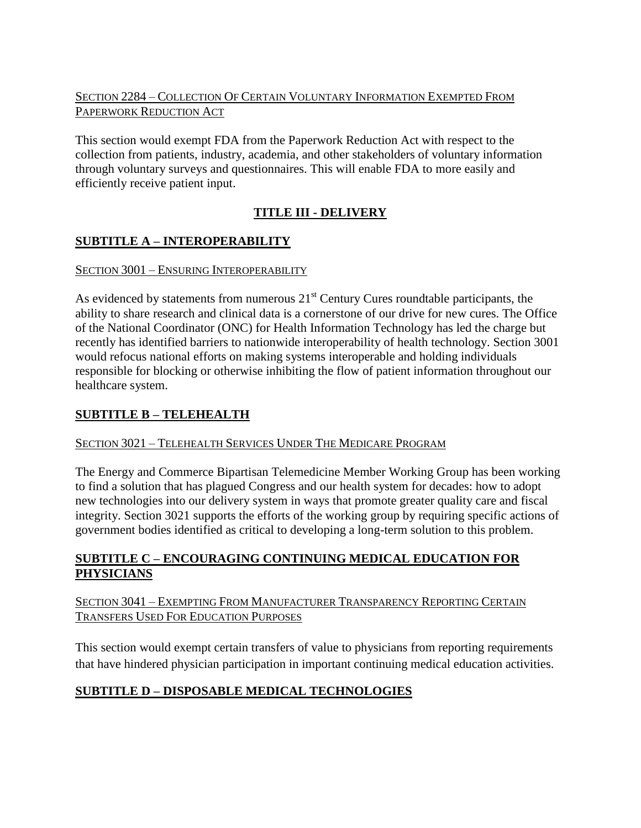## SECTION 2284 – COLLECTION OF CERTAIN VOLUNTARY INFORMATION EXEMPTED FROM PAPERWORK REDUCTION ACT

This section would exempt FDA from the Paperwork Reduction Act with respect to the collection from patients, industry, academia, and other stakeholders of voluntary information through voluntary surveys and questionnaires. This will enable FDA to more easily and efficiently receive patient input.

# **TITLE III - DELIVERY**

# **SUBTITLE A – INTEROPERABILITY**

## SECTION 3001 – ENSURING INTEROPERABILITY

As evidenced by statements from numerous  $21<sup>st</sup>$  Century Cures roundtable participants, the ability to share research and clinical data is a cornerstone of our drive for new cures. The Office of the National Coordinator (ONC) for Health Information Technology has led the charge but recently has identified barriers to nationwide interoperability of health technology. Section 3001 would refocus national efforts on making systems interoperable and holding individuals responsible for blocking or otherwise inhibiting the flow of patient information throughout our healthcare system.

## **SUBTITLE B – TELEHEALTH**

## SECTION 3021 – TELEHEALTH SERVICES UNDER THE MEDICARE PROGRAM

The Energy and Commerce Bipartisan Telemedicine Member Working Group has been working to find a solution that has plagued Congress and our health system for decades: how to adopt new technologies into our delivery system in ways that promote greater quality care and fiscal integrity. Section 3021 supports the efforts of the working group by requiring specific actions of government bodies identified as critical to developing a long-term solution to this problem.

## **SUBTITLE C – ENCOURAGING CONTINUING MEDICAL EDUCATION FOR PHYSICIANS**

## SECTION 3041 – EXEMPTING FROM MANUFACTURER TRANSPARENCY REPORTING CERTAIN TRANSFERS USED FOR EDUCATION PURPOSES

This section would exempt certain transfers of value to physicians from reporting requirements that have hindered physician participation in important continuing medical education activities.

## **SUBTITLE D – DISPOSABLE MEDICAL TECHNOLOGIES**